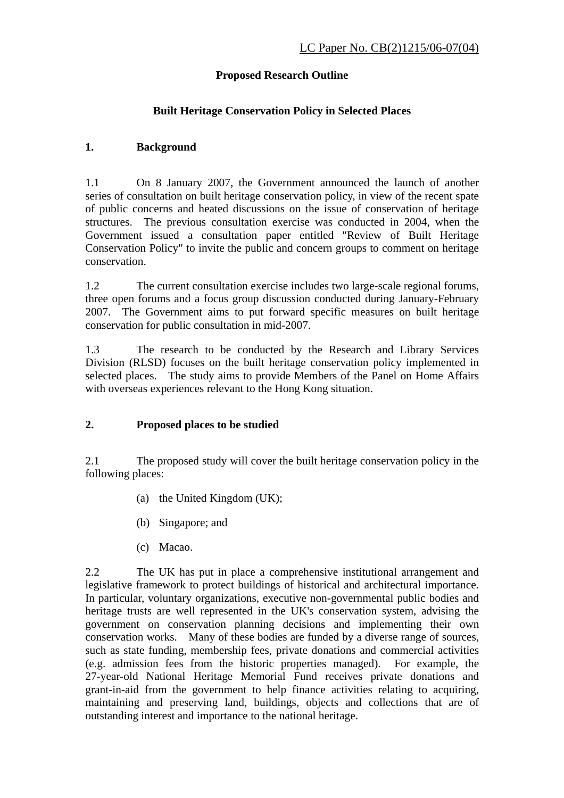## **Proposed Research Outline**

## **Built Heritage Conservation Policy in Selected Places**

## **1. Background**

1.1 On 8 January 2007, the Government announced the launch of another series of consultation on built heritage conservation policy, in view of the recent spate of public concerns and heated discussions on the issue of conservation of heritage structures. The previous consultation exercise was conducted in 2004, when the Government issued a consultation paper entitled "Review of Built Heritage Conservation Policy" to invite the public and concern groups to comment on heritage conservation.

1.2 The current consultation exercise includes two large-scale regional forums, three open forums and a focus group discussion conducted during January-February 2007. The Government aims to put forward specific measures on built heritage conservation for public consultation in mid-2007.

1.3 The research to be conducted by the Research and Library Services Division (RLSD) focuses on the built heritage conservation policy implemented in selected places. The study aims to provide Members of the Panel on Home Affairs with overseas experiences relevant to the Hong Kong situation.

## **2. Proposed places to be studied**

2.1 The proposed study will cover the built heritage conservation policy in the following places:

- (a) the United Kingdom (UK);
- (b) Singapore; and
- (c) Macao.

2.2 The UK has put in place a comprehensive institutional arrangement and legislative framework to protect buildings of historical and architectural importance. In particular, voluntary organizations, executive non-governmental public bodies and heritage trusts are well represented in the UK's conservation system, advising the government on conservation planning decisions and implementing their own conservation works. Many of these bodies are funded by a diverse range of sources, such as state funding, membership fees, private donations and commercial activities (e.g. admission fees from the historic properties managed). For example, the 27-year-old National Heritage Memorial Fund receives private donations and grant-in-aid from the government to help finance activities relating to acquiring, maintaining and preserving land, buildings, objects and collections that are of outstanding interest and importance to the national heritage.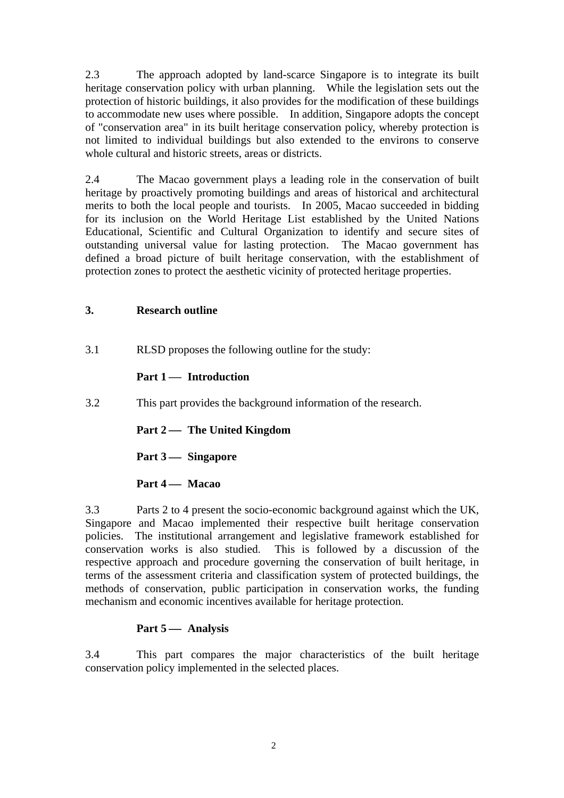2.3 The approach adopted by land-scarce Singapore is to integrate its built heritage conservation policy with urban planning. While the legislation sets out the protection of historic buildings, it also provides for the modification of these buildings to accommodate new uses where possible. In addition, Singapore adopts the concept of "conservation area" in its built heritage conservation policy, whereby protection is not limited to individual buildings but also extended to the environs to conserve whole cultural and historic streets, areas or districts.

2.4 The Macao government plays a leading role in the conservation of built heritage by proactively promoting buildings and areas of historical and architectural merits to both the local people and tourists. In 2005, Macao succeeded in bidding for its inclusion on the World Heritage List established by the United Nations Educational, Scientific and Cultural Organization to identify and secure sites of outstanding universal value for lasting protection. The Macao government has defined a broad picture of built heritage conservation, with the establishment of protection zones to protect the aesthetic vicinity of protected heritage properties.

#### **3. Research outline**

3.1 RLSD proposes the following outline for the study:

## **Part 1 — Introduction**

3.2 This part provides the background information of the research.

 **Part 2 — The United Kingdom** 

**Part 3** <del>**— Singapore**</del>

## **Part 4 — Macao**

3.3 Parts 2 to 4 present the socio-economic background against which the UK, Singapore and Macao implemented their respective built heritage conservation policies. The institutional arrangement and legislative framework established for conservation works is also studied. This is followed by a discussion of the respective approach and procedure governing the conservation of built heritage, in terms of the assessment criteria and classification system of protected buildings, the methods of conservation, public participation in conservation works, the funding mechanism and economic incentives available for heritage protection.

## **Part 5** ⎯ **Analysis**

3.4 This part compares the major characteristics of the built heritage conservation policy implemented in the selected places.